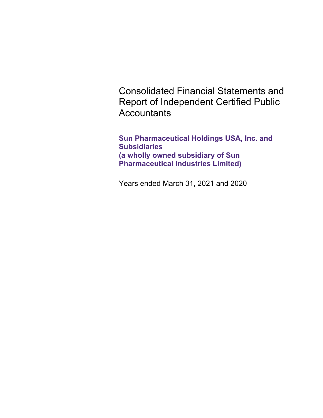Consolidated Financial Statements and Report of Independent Certified Public **Accountants** 

**Sun Pharmaceutical Holdings USA, Inc. and Subsidiaries (a wholly owned subsidiary of Sun Pharmaceutical Industries Limited)** 

Years ended March 31, 2021 and 2020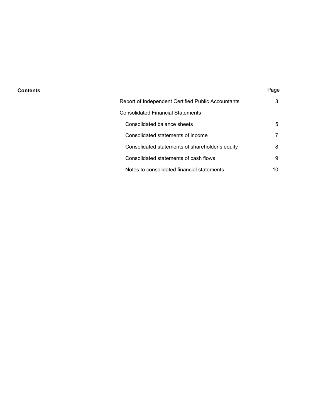#### **Contents** Page

| Report of Independent Certified Public Accountants | 3  |
|----------------------------------------------------|----|
| Consolidated Financial Statements                  |    |
| Consolidated balance sheets                        | 5  |
| Consolidated statements of income                  |    |
| Consolidated statements of shareholder's equity    | 8  |
| Consolidated statements of cash flows              | 9  |
| Notes to consolidated financial statements         | 10 |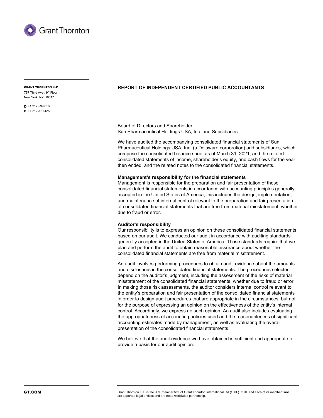

757 Third Ave., 9<sup>th</sup> Floor

New York, NY 10017

 $D + 12125990100$  $F + 1$  212 370 4250

# GRANT THORNTON LLP **REPORT OF INDEPENDENT CERTIFIED PUBLIC ACCOUNTANTS**

Board of Directors and Shareholder Sun Pharmaceutical Holdings USA, Inc. and Subsidiaries

We have audited the accompanying consolidated financial statements of Sun Pharmaceutical Holdings USA, Inc. (a Delaware corporation) and subsidiaries, which comprise the consolidated balance sheet as of March 31, 2021, and the related consolidated statements of income, shareholder's equity, and cash flows for the year then ended, and the related notes to the consolidated financial statements.

#### **Management's responsibility for the financial statements**

Management is responsible for the preparation and fair presentation of these consolidated financial statements in accordance with accounting principles generally accepted in the United States of America; this includes the design, implementation, and maintenance of internal control relevant to the preparation and fair presentation of consolidated financial statements that are free from material misstatement, whether due to fraud or error.

#### **Auditor's responsibility**

Our responsibility is to express an opinion on these consolidated financial statements based on our audit. We conducted our audit in accordance with auditing standards generally accepted in the United States of America. Those standards require that we plan and perform the audit to obtain reasonable assurance about whether the consolidated financial statements are free from material misstatement.

An audit involves performing procedures to obtain audit evidence about the amounts and disclosures in the consolidated financial statements. The procedures selected depend on the auditor's judgment, including the assessment of the risks of material misstatement of the consolidated financial statements, whether due to fraud or error. In making those risk assessments, the auditor considers internal control relevant to the entity's preparation and fair presentation of the consolidated financial statements in order to design audit procedures that are appropriate in the circumstances, but not for the purpose of expressing an opinion on the effectiveness of the entity's internal control. Accordingly, we express no such opinion. An audit also includes evaluating the appropriateness of accounting policies used and the reasonableness of significant accounting estimates made by management, as well as evaluating the overall presentation of the consolidated financial statements.

We believe that the audit evidence we have obtained is sufficient and appropriate to provide a basis for our audit opinion.

GT.COM GTACOM Grant Thornton LLP is the U.S. member firm of Grant Thornton International Ltd (GTIL). GTIL and each of its member firms are separate legal entities and are not a worldwide partnership.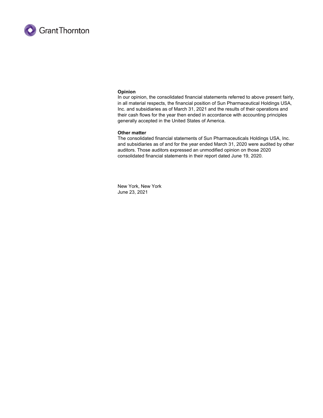

#### **Opinion**

In our opinion, the consolidated financial statements referred to above present fairly, in all material respects, the financial position of Sun Pharmaceutical Holdings USA, Inc. and subsidiaries as of March 31, 2021 and the results of their operations and their cash flows for the year then ended in accordance with accounting principles generally accepted in the United States of America.

#### **Other matter**

The consolidated financial statements of Sun Pharmaceuticals Holdings USA, Inc. and subsidiaries as of and for the year ended March 31, 2020 were audited by other auditors. Those auditors expressed an unmodified opinion on those 2020 consolidated financial statements in their report dated June 19, 2020.

New York, New York June 23, 2021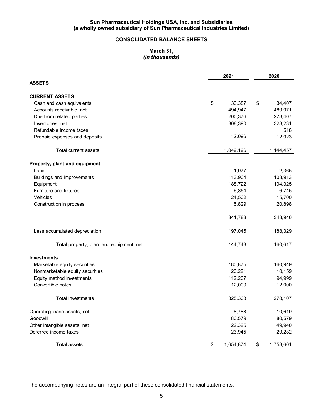# **CONSOLIDATED BALANCE SHEETS**

# **March 31,**  *(in thousands)*

|                                          | 2021            |                 |  |
|------------------------------------------|-----------------|-----------------|--|
| <b>ASSETS</b>                            |                 |                 |  |
| <b>CURRENT ASSETS</b>                    |                 |                 |  |
| Cash and cash equivalents                | \$<br>33,387    | 34,407<br>\$    |  |
| Accounts receivable, net                 | 494,947         | 489,971         |  |
| Due from related parties                 | 200,376         | 278,407         |  |
| Inventories, net                         | 308,390         | 328,231         |  |
| Refundable income taxes                  |                 | 518             |  |
| Prepaid expenses and deposits            | 12,096          | 12,923          |  |
| Total current assets                     | 1,049,196       | 1,144,457       |  |
| Property, plant and equipment            |                 |                 |  |
| Land                                     | 1,977           | 2,365           |  |
| Buildings and improvements               | 113,904         | 108,913         |  |
| Equipment                                | 188,722         | 194,325         |  |
| Furniture and fixtures                   | 6,854           | 6,745           |  |
| Vehicles                                 | 24,502          | 15,700          |  |
| Construction in process                  | 5,829           | 20,898          |  |
|                                          | 341,788         | 348,946         |  |
| Less accumulated depreciation            | 197,045         | 188,329         |  |
| Total property, plant and equipment, net | 144,743         | 160,617         |  |
| <b>Investments</b>                       |                 |                 |  |
| Marketable equity securities             | 180,875         | 160,949         |  |
| Nonmarketable equity securities          | 20,221          | 10,159          |  |
| Equity method investments                | 112,207         | 94,999          |  |
| Convertible notes                        | 12,000          | 12,000          |  |
| <b>Total investments</b>                 | 325,303         | 278,107         |  |
| Operating lease assets, net              | 8,783           | 10,619          |  |
| Goodwill                                 | 80,579          | 80,579          |  |
| Other intangible assets, net             | 22,325          | 49,940          |  |
| Deferred income taxes                    | 23,945          | 29,282          |  |
| <b>Total assets</b>                      | \$<br>1,654,874 | \$<br>1,753,601 |  |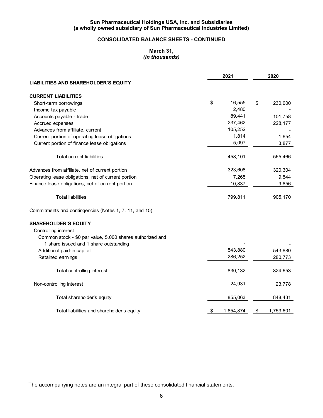# **CONSOLIDATED BALANCE SHEETS - CONTINUED**

# **March 31,**  *(in thousands)*

|                                                           | 2021 |           | 2020 |           |  |
|-----------------------------------------------------------|------|-----------|------|-----------|--|
| <b>LIABILITIES AND SHAREHOLDER'S EQUITY</b>               |      |           |      |           |  |
| <b>CURRENT LIABILITIES</b>                                |      |           |      |           |  |
| Short-term borrowings                                     | \$   | 16,555    | \$   | 230,000   |  |
| Income tax payable                                        |      | 2,480     |      |           |  |
| Accounts payable - trade                                  |      | 89,441    |      | 101,758   |  |
| Accrued expenses                                          |      | 237,462   |      | 228,177   |  |
| Advances from affiliate, current                          |      | 105,252   |      |           |  |
| Current portion of operating lease obligations            |      | 1,814     |      | 1,654     |  |
| Current portion of finance lease obligations              |      | 5,097     |      | 3,877     |  |
| <b>Total current liabilities</b>                          |      | 458,101   |      | 565,466   |  |
| Advances from affiliate, net of current portion           |      | 323,608   |      | 320,304   |  |
| Operating lease obligations, net of current portion       |      | 7,265     |      | 9,544     |  |
| Finance lease obligations, net of current portion         |      | 10,837    |      | 9,856     |  |
| <b>Total liabilities</b>                                  |      | 799,811   |      | 905,170   |  |
| Commitments and contingencies (Notes 1, 7, 11, and 15)    |      |           |      |           |  |
| <b>SHAREHOLDER'S EQUITY</b>                               |      |           |      |           |  |
| Controlling interest                                      |      |           |      |           |  |
| Common stock - \$0 par value, 5,000 shares authorized and |      |           |      |           |  |
| 1 share issued and 1 share outstanding                    |      |           |      |           |  |
| Additional paid-in capital                                |      | 543,880   |      | 543,880   |  |
| Retained earnings                                         |      | 286,252   |      | 280,773   |  |
| Total controlling interest                                |      | 830,132   |      | 824,653   |  |
| Non-controlling interest                                  |      | 24,931    |      | 23,778    |  |
| Total shareholder's equity                                |      | 855,063   |      | 848,431   |  |
| Total liabilities and shareholder's equity                | \$   | 1,654,874 | \$   | 1,753,601 |  |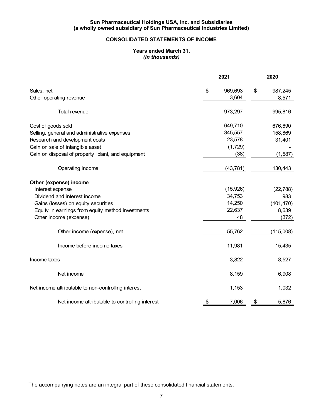# **CONSOLIDATED STATEMENTS OF INCOME**

# **Years ended March 31,**  *(in thousands)*

|                                                     | 2021          | 2020 |            |  |
|-----------------------------------------------------|---------------|------|------------|--|
| Sales, net                                          | \$<br>969,693 | \$   | 987,245    |  |
| Other operating revenue                             | 3,604         |      | 8,571      |  |
|                                                     |               |      |            |  |
| Total revenue                                       | 973,297       |      | 995,816    |  |
| Cost of goods sold                                  | 649,710       |      | 676,690    |  |
| Selling, general and administrative expenses        | 345,557       |      | 158,869    |  |
| Research and development costs                      | 23,578        |      | 31,401     |  |
| Gain on sale of intangible asset                    | (1,729)       |      |            |  |
| Gain on disposal of property, plant, and equipment  | (38)          |      | (1, 587)   |  |
| Operating income                                    | (43, 781)     |      | 130,443    |  |
| Other (expense) income                              |               |      |            |  |
| Interest expense                                    | (15, 926)     |      | (22, 788)  |  |
| Dividend and interest income                        | 34,753        |      | 983        |  |
| Gains (losses) on equity securities                 | 14,250        |      | (101, 470) |  |
| Equity in earnings from equity method investments   | 22,637        |      | 8,639      |  |
| Other income (expense)                              | 48            |      | (372)      |  |
| Other income (expense), net                         | 55,762        |      | (115,008)  |  |
| Income before income taxes                          | 11,981        |      | 15,435     |  |
| Income taxes                                        | 3,822         |      | 8,527      |  |
| Net income                                          | 8,159         |      | 6,908      |  |
| Net income attributable to non-controlling interest | 1,153         |      | 1,032      |  |
| Net income attributable to controlling interest     | \$<br>7,006   | \$   | 5,876      |  |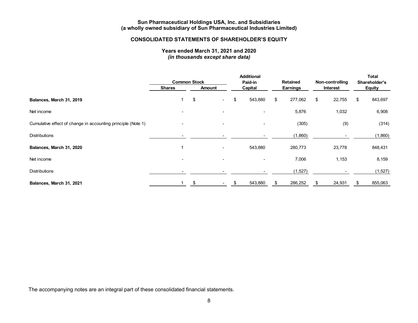# **CONSOLIDATED STATEMENTS OF SHAREHOLDER'S EQUITY**

# **Years ended March 31, 2021 and 2020**  *(in thousands except share data)*

|                                                              | <b>Common Stock</b> |    | <b>Additional</b><br>Paid-in |    | <b>Retained</b>          |    | Non-controlling |    | <b>Total</b><br>Shareholder's |    |               |
|--------------------------------------------------------------|---------------------|----|------------------------------|----|--------------------------|----|-----------------|----|-------------------------------|----|---------------|
|                                                              | <b>Shares</b>       |    | <b>Amount</b>                |    | Capital                  |    | <b>Earnings</b> |    | <b>Interest</b>               |    | <b>Equity</b> |
| Balances, March 31, 2019                                     |                     | \$ |                              | \$ | 543,880                  | \$ | 277,062         | \$ | 22,755                        | \$ | 843,697       |
| Net income                                                   |                     |    |                              |    |                          |    | 5,876           |    | 1,032                         |    | 6,908         |
| Cumulative effect of change in accounting principle (Note 1) |                     |    | $\overline{\phantom{0}}$     |    | $\blacksquare$           |    | (305)           |    | (9)                           |    | (314)         |
| <b>Distributions</b>                                         |                     |    |                              |    |                          |    | (1,860)         |    |                               |    | (1,860)       |
| Balances, March 31, 2020                                     |                     |    | $\blacksquare$               |    | 543,880                  |    | 280,773         |    | 23,778                        |    | 848,431       |
| Net income                                                   |                     |    | $\overline{\phantom{a}}$     |    | $\overline{\phantom{a}}$ |    | 7,006           |    | 1,153                         |    | 8,159         |
| <b>Distributions</b>                                         |                     |    |                              |    |                          |    | (1,527)         |    |                               |    | (1, 527)      |
| Balances, March 31, 2021                                     |                     | ß. |                              | ß. | 543,880                  | S  | 286,252         | S  | 24,931                        | \$ | 855,063       |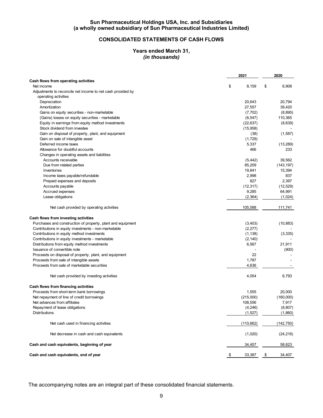# **CONSOLIDATED STATEMENTS OF CASH FLOWS**

# **Years ended March 31,**  *(in thousands)*

|                                                             | 2021 |            | 2020 |                |  |
|-------------------------------------------------------------|------|------------|------|----------------|--|
| Cash flows from operating activities                        |      |            |      |                |  |
| Net income                                                  | \$   | 8,159      | \$   | 6,908          |  |
| Adjustments to reconcile net income to net cash provided by |      |            |      |                |  |
| operating activities                                        |      | 20.643     |      |                |  |
| Depreciation                                                |      |            |      | 20,794         |  |
| Amortization                                                |      | 27,557     |      | 39,420         |  |
| Gains on equity securities - non-marketable                 |      | (7, 702)   |      | (8,895)        |  |
| (Gains) losses on equity securities - marketable            |      | (6, 547)   |      | 110,365        |  |
| Equity in earnings from equity method investments           |      | (22, 637)  |      | (8,639)        |  |
| Stock dividend from investee                                |      | (15,958)   |      |                |  |
| Gain on disposal of property, plant, and equipment          |      | (38)       |      | (1, 587)       |  |
| Gain on sale of intangible asset                            |      | (1,729)    |      |                |  |
| Deferred income taxes                                       |      | 5,337      |      | (13, 289)      |  |
| Allowance for doubtful accounts                             |      | 466        |      | 233            |  |
| Changes in operating assets and liabilities                 |      |            |      |                |  |
| Accounts receivable                                         |      | (5, 442)   |      | 39,562         |  |
| Due from related parties                                    |      | 85,209     |      | (143, 197)     |  |
| Inventories                                                 |      | 19,841     |      | 15,394         |  |
| Income taxes payable/refundable                             |      | 2,998      |      | 837            |  |
| Prepaid expenses and deposits                               |      | 827        |      | 2,397          |  |
| Accounts payable                                            |      | (12, 317)  |      | (12, 529)      |  |
| Accrued expenses                                            |      | 9,285      |      | 64,991         |  |
| Lease obligations                                           |      | (2, 364)   |      | (1,024)        |  |
| Net cash provided by operating activities                   |      | 105,588    |      | 111,741        |  |
| Cash flows from investing activities                        |      |            |      |                |  |
| Purchases and construction of property, plant and equipment |      | (3,403)    |      | (10, 883)      |  |
| Contributions in equity investments - non-marketable        |      | (2,277)    |      |                |  |
| Contributions in equity method investments                  |      | (1, 138)   |      | (3, 335)       |  |
| Contributions in equity investments - marketable            |      | (2, 140)   |      |                |  |
| Distributions from equity method investments                |      | 6,567      |      | 21,911         |  |
| Issuance of convertible note                                |      |            |      | (900)          |  |
| Proceeds on disposal of property, plant, and equipment      |      | 22         |      |                |  |
| Proceeds from sale of intangible assets                     |      | 1,787      |      |                |  |
| Proceeds from sale of marketable securities                 |      | 4,636      |      | $\blacksquare$ |  |
| Net cash provided by investing activities                   |      | 4,054      |      | 6,793          |  |
|                                                             |      |            |      |                |  |
| Cash flows from financing activities                        |      |            |      |                |  |
| Proceeds from short-term bank borrowings                    |      | 1,555      |      | 20.000         |  |
| Net repayment of line of credit borrowings                  |      | (215,000)  |      | (160,000)      |  |
| Net advances from affiliates                                |      | 108,556    |      | 7,917          |  |
| Repayment of lease obligations                              |      | (4, 246)   |      | (8, 807)       |  |
| Distributions                                               |      | (1, 527)   |      | (1,860)        |  |
| Net cash used in financing activities                       |      | (110, 662) |      | (142, 750)     |  |
| Net decrease in cash and cash equivalents                   |      | (1,020)    |      | (24, 216)      |  |
| Cash and cash equivalents, beginning of year                |      | 34,407     |      | 58,623         |  |
| Cash and cash equivalents, end of year                      | \$   | 33,387     | \$   | 34,407         |  |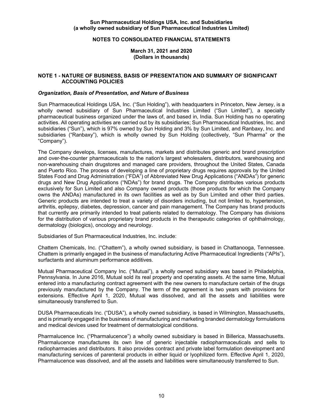### **NOTES TO CONSOLIDATED FINANCIAL STATEMENTS**

#### **March 31, 2021 and 2020 (Dollars in thousands)**

# **NOTE 1 - NATURE OF BUSINESS, BASIS OF PRESENTATION AND SUMMARY OF SIGNIFICANT ACCOUNTING POLICIES**

#### *Organization, Basis of Presentation, and Nature of Business*

Sun Pharmaceutical Holdings USA, Inc. ("Sun Holding"), with headquarters in Princeton, New Jersey, is a wholly owned subsidiary of Sun Pharmaceutical Industries Limited ("Sun Limited"), a specialty pharmaceutical business organized under the laws of, and based in, India. Sun Holding has no operating activities. All operating activities are carried out by its subsidiaries; Sun Pharmaceutical Industries, Inc. and subsidiaries ("Sun"), which is 97% owned by Sun Holding and 3% by Sun Limited, and Ranbaxy, Inc. and subsidiaries ("Ranbaxy"), which is wholly owned by Sun Holding (collectively, "Sun Pharma" or the "Company").

The Company develops, licenses, manufactures, markets and distributes generic and brand prescription and over-the-counter pharmaceuticals to the nation's largest wholesalers, distributors, warehousing and non-warehousing chain drugstores and managed care providers, throughout the United States, Canada and Puerto Rico. The process of developing a line of proprietary drugs requires approvals by the United States Food and Drug Administration ("FDA") of Abbreviated New Drug Applications ("ANDAs") for generic drugs and New Drug Applications ("NDAs") for brand drugs. The Company distributes various products exclusively for Sun Limited and also Company owned products (those products for which the Company owns the ANDAs) manufactured in its own facilities as well as by Sun Limited and other third parties. Generic products are intended to treat a variety of disorders including, but not limited to, hypertension, arthritis, epilepsy, diabetes, depression, cancer and pain management. The Company has brand products that currently are primarily intended to treat patients related to dermatology. The Company has divisions for the distribution of various proprietary brand products in the therapeutic categories of ophthalmology, dermatology (biologics), oncology and neurology.

Subsidiaries of Sun Pharmaceutical Industries, Inc. include:

Chattem Chemicals, Inc. ("Chattem"), a wholly owned subsidiary, is based in Chattanooga, Tennessee. Chattem is primarily engaged in the business of manufacturing Active Pharmaceutical Ingredients ("APIs"), surfactants and aluminum performance additives.

Mutual Pharmaceutical Company Inc. ("Mutual"), a wholly owned subsidiary was based in Philadelphia, Pennsylvania. In June 2016, Mutual sold its real property and operating assets. At the same time, Mutual entered into a manufacturing contract agreement with the new owners to manufacture certain of the drugs previously manufactured by the Company. The term of the agreement is two years with provisions for extensions. Effective April 1, 2020, Mutual was dissolved, and all the assets and liabilities were simultaneously transferred to Sun.

DUSA Pharmaceuticals Inc. ("DUSA"), a wholly owned subsidiary, is based in Wilmington, Massachusetts, and is primarily engaged in the business of manufacturing and marketing branded dermatology formulations and medical devices used for treatment of dermatological conditions.

Pharmalucence Inc. ("Pharmalucence") a wholly owned subsidiary is based in Billerica, Massachusetts. Pharmalucence manufactures its own line of generic injectable radiopharmaceuticals and sells to radiopharmacies and distributors. It also provides contract and private label formulation development and manufacturing services of parenteral products in either liquid or lyophilized form. Effective April 1, 2020, Pharmalucence was dissolved, and all the assets and liabilities were simultaneously transferred to Sun.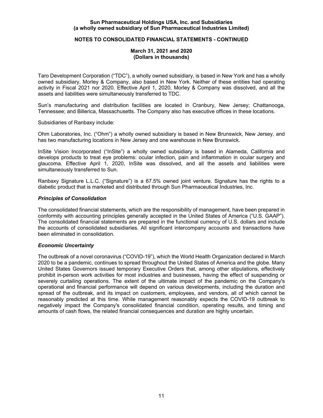# **NOTES TO CONSOLIDATED FINANCIAL STATEMENTS - CONTINUED**

### **March 31, 2021 and 2020 (Dollars in thousands)**

Taro Development Corporation ("TDC"), a wholly owned subsidiary, is based in New York and has a wholly owned subsidiary, Morley & Company, also based in New York. Neither of these entities had operating activity in Fiscal 2021 nor 2020. Effective April 1, 2020, Morley & Company was dissolved, and all the assets and liabilities were simultaneously transferred to TDC.

Sun's manufacturing and distribution facilities are located in Cranbury, New Jersey; Chattanooga, Tennessee; and Billerica, Massachusetts. The Company also has executive offices in these locations.

Subsidiaries of Ranbaxy include:

Ohm Laboratories, Inc. ("Ohm") a wholly owned subsidiary is based in New Brunswick, New Jersey, and has two manufacturing locations in New Jersey and one warehouse in New Brunswick.

InSite Vision Incorporated ("InSite") a wholly owned subsidiary is based in Alameda, California and develops products to treat eye problems: ocular infection, pain and inflammation in ocular surgery and glaucoma. Effective April 1, 2020, InSite was dissolved, and all the assets and liabilities were simultaneously transferred to Sun.

Ranbaxy Signature L.L.C. ("Signature") is a 67.5% owned joint venture. Signature has the rights to a diabetic product that is marketed and distributed through Sun Pharmaceutical Industries, Inc.

#### *Principles of Consolidation*

The consolidated financial statements, which are the responsibility of management, have been prepared in conformity with accounting principles generally accepted in the United States of America ("U.S. GAAP"). The consolidated financial statements are prepared in the functional currency of U.S. dollars and include the accounts of consolidated subsidiaries. All significant intercompany accounts and transactions have been eliminated in consolidation.

#### *Economic Uncertainty*

The outbreak of a novel coronavirus ("COVID-19"), which the World Health Organization declared in March 2020 to be a pandemic, continues to spread throughout the United States of America and the globe. Many United States Governors issued temporary Executive Orders that, among other stipulations, effectively prohibit in-person work activities for most industries and businesses, having the effect of suspending or severely curtailing operations. The extent of the ultimate impact of the pandemic on the Company's operational and financial performance will depend on various developments, including the duration and spread of the outbreak, and its impact on customers, employees, and vendors, all of which cannot be reasonably predicted at this time. While management reasonably expects the COVID-19 outbreak to negatively impact the Company's consolidated financial condition, operating results, and timing and amounts of cash flows, the related financial consequences and duration are highly uncertain.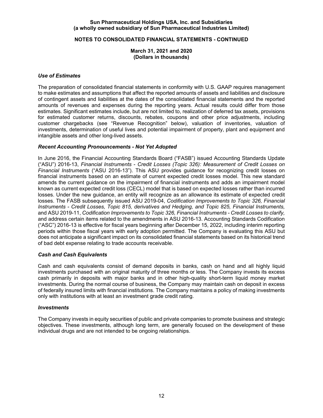### **NOTES TO CONSOLIDATED FINANCIAL STATEMENTS - CONTINUED**

**March 31, 2021 and 2020 (Dollars in thousands)** 

## *Use of Estimates*

The preparation of consolidated financial statements in conformity with U.S. GAAP requires management to make estimates and assumptions that affect the reported amounts of assets and liabilities and disclosure of contingent assets and liabilities at the dates of the consolidated financial statements and the reported amounts of revenues and expenses during the reporting years. Actual results could differ from those estimates. Significant estimates include, but are not limited to, realization of deferred tax assets, provisions for estimated customer returns, discounts, rebates, coupons and other price adjustments, including customer chargebacks (see "Revenue Recognition" below), valuation of inventories, valuation of investments, determination of useful lives and potential impairment of property, plant and equipment and intangible assets and other long-lived assets.

#### *Recent Accounting Pronouncements - Not Yet Adopted*

In June 2016, the Financial Accounting Standards Board ("FASB") issued Accounting Standards Update ("ASU") 2016-13, *Financial Instruments* - *Credit Losses (Topic 326): Measurement of Credit Losses on Financial Instruments* ("ASU 2016-13"). This ASU provides guidance for recognizing credit losses on financial instruments based on an estimate of current expected credit losses model. This new standard amends the current guidance on the impairment of financial instruments and adds an impairment model known as current expected credit loss (CECL) model that is based on expected losses rather than incurred losses. Under the new guidance, an entity will recognize as an allowance its estimate of expected credit losses. The FASB subsequently issued ASU 2019-04, *Codification Improvements to Topic 326, Financial Instruments - Credit Losses, Topic 815, derivatives and Hedging, and Topic 825, Financial Instruments,* and ASU 2019-11, *Codification Improvements to Topic 326, Financial Instruments - Credit Losses to clarify,* and address certain items related to the amendments in ASU 2016-13. Accounting Standards Codification ("ASC") 2016-13 is effective for fiscal years beginning after December 15, 2022, including interim reporting periods within those fiscal years with early adoption permitted. The Company is evaluating this ASU but does not anticipate a significant impact on its consolidated financial statements based on its historical trend of bad debt expense relating to trade accounts receivable.

#### *Cash and Cash Equivalents*

Cash and cash equivalents consist of demand deposits in banks, cash on hand and all highly liquid investments purchased with an original maturity of three months or less. The Company invests its excess cash primarily in deposits with major banks and in other high-quality short-term liquid money market investments. During the normal course of business, the Company may maintain cash on deposit in excess of federally insured limits with financial institutions. The Company maintains a policy of making investments only with institutions with at least an investment grade credit rating.

#### *Investments*

The Company invests in equity securities of public and private companies to promote business and strategic objectives. These investments, although long term, are generally focused on the development of these individual drugs and are not intended to be ongoing relationships.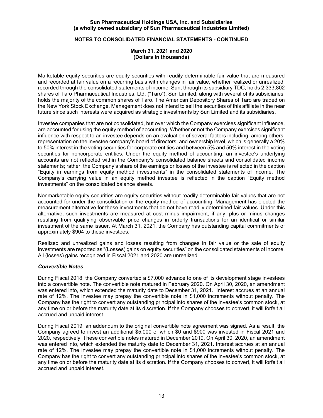# **NOTES TO CONSOLIDATED FINANCIAL STATEMENTS - CONTINUED**

### **March 31, 2021 and 2020 (Dollars in thousands)**

Marketable equity securities are equity securities with readily determinable fair value that are measured and recorded at fair value on a recurring basis with changes in fair value, whether realized or unrealized, recorded through the consolidated statements of income. Sun, through its subsidiary TDC, holds 2,333,802 shares of Taro Pharmaceutical Industries, Ltd. ("Taro"). Sun Limited, along with several of its subsidiaries, holds the majority of the common shares of Taro. The American Depository Shares of Taro are traded on the New York Stock Exchange. Management does not intend to sell the securities of this affiliate in the near future since such interests were acquired as strategic investments by Sun Limited and its subsidiaries.

Investee companies that are not consolidated, but over which the Company exercises significant influence, are accounted for using the equity method of accounting. Whether or not the Company exercises significant influence with respect to an investee depends on an evaluation of several factors including, among others, representation on the investee company's board of directors, and ownership level, which is generally a 20% to 50% interest in the voting securities for corporate entities and between 5% and 50% interest in the voting securities for noncorporate entities. Under the equity method of accounting, an investee's underlying accounts are not reflected within the Company's consolidated balance sheets and consolidated income statements; rather, the Company's share of the earnings or losses of the investee is reflected in the caption "Equity in earnings from equity method investments" in the consolidated statements of income. The Company's carrying value in an equity method investee is reflected in the caption "Equity method investments" on the consolidated balance sheets.

Nonmarketable equity securities are equity securities without readily determinable fair values that are not accounted for under the consolidation or the equity method of accounting. Management has elected the measurement alternative for these investments that do not have readily determined fair values. Under this alternative, such investments are measured at cost minus impairment, if any, plus or minus changes resulting from qualifying observable price changes in orderly transactions for an identical or similar investment of the same issuer. At March 31, 2021, the Company has outstanding capital commitments of approximately \$904 to these investees.

Realized and unrealized gains and losses resulting from changes in fair value or the sale of equity investments are reported as "(Losses) gains on equity securities" on the consolidated statements of income. All (losses) gains recognized in Fiscal 2021 and 2020 are unrealized.

#### *Convertible Notes*

During Fiscal 2018, the Company converted a \$7,000 advance to one of its development stage investees into a convertible note. The convertible note matured in February 2020. On April 30, 2020, an amendment was entered into, which extended the maturity date to December 31, 2021. Interest accrues at an annual rate of 12%. The investee may prepay the convertible note in \$1,000 increments without penalty. The Company has the right to convert any outstanding principal into shares of the investee's common stock, at any time on or before the maturity date at its discretion. If the Company chooses to convert, it will forfeit all accrued and unpaid interest.

During Fiscal 2019, an addendum to the original convertible note agreement was signed. As a result, the Company agreed to invest an additional \$5,000 of which \$0 and \$900 was invested in Fiscal 2021 and 2020, respectively. These convertible notes matured in December 2019. On April 30, 2020, an amendment was entered into, which extended the maturity date to December 31, 2021. Interest accrues at an annual rate of 12%. The investee may prepay the convertible note in \$1,000 increments without penalty. The Company has the right to convert any outstanding principal into shares of the investee's common stock, at any time on or before the maturity date at its discretion. If the Company chooses to convert, it will forfeit all accrued and unpaid interest.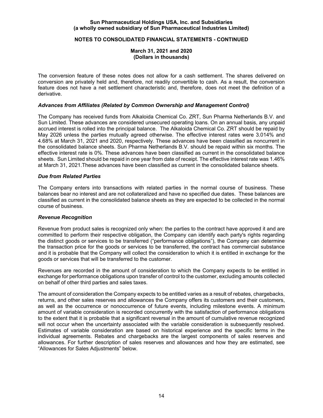# **NOTES TO CONSOLIDATED FINANCIAL STATEMENTS - CONTINUED**

### **March 31, 2021 and 2020 (Dollars in thousands)**

The conversion feature of these notes does not allow for a cash settlement. The shares delivered on conversion are privately held and, therefore, not readily convertible to cash. As a result, the conversion feature does not have a net settlement characteristic and, therefore, does not meet the definition of a derivative.

#### *Advances from Affiliates (Related by Common Ownership and Management Control)*

The Company has received funds from Alkaloida Chemical Co. ZRT, Sun Pharma Netherlands B.V. and Sun Limited. These advances are considered unsecured operating loans. On an annual basis, any unpaid accrued interest is rolled into the principal balance. The Alkaloida Chemical Co. ZRT should be repaid by May 2026 unless the parties mutually agreed otherwise. The effective interest rates were 3.014% and 4.68% at March 31, 2021 and 2020, respectively. These advances have been classified as noncurrent in the consolidated balance sheets. Sun Pharma Netherlands B.V. should be repaid within six months. The effective interest rate is 0%. These advances have been classified as current in the consolidated balance sheets. Sun Limited should be repaid in one year from date of receipt. The effective interest rate was 1.46% at March 31, 2021.These advances have been classified as current in the consolidated balance sheets.

#### *Due from Related Parties*

The Company enters into transactions with related parties in the normal course of business. These balances bear no interest and are not collateralized and have no specified due dates. These balances are classified as current in the consolidated balance sheets as they are expected to be collected in the normal course of business.

#### *Revenue Recognition*

Revenue from product sales is recognized only when: the parties to the contract have approved it and are committed to perform their respective obligation, the Company can identify each party's rights regarding the distinct goods or services to be transferred ("performance obligations"), the Company can determine the transaction price for the goods or services to be transferred, the contract has commercial substance and it is probable that the Company will collect the consideration to which it is entitled in exchange for the goods or services that will be transferred to the customer.

Revenues are recorded in the amount of consideration to which the Company expects to be entitled in exchange for performance obligations upon transfer of control to the customer, excluding amounts collected on behalf of other third parties and sales taxes.

The amount of consideration the Company expects to be entitled varies as a result of rebates, chargebacks, returns, and other sales reserves and allowances the Company offers its customers and their customers, as well as the occurrence or nonoccurrence of future events, including milestone events. A minimum amount of variable consideration is recorded concurrently with the satisfaction of performance obligations to the extent that it is probable that a significant reversal in the amount of cumulative revenue recognized will not occur when the uncertainty associated with the variable consideration is subsequently resolved. Estimates of variable consideration are based on historical experience and the specific terms in the individual agreements. Rebates and chargebacks are the largest components of sales reserves and allowances. For further description of sales reserves and allowances and how they are estimated, see "Allowances for Sales Adjustments" below.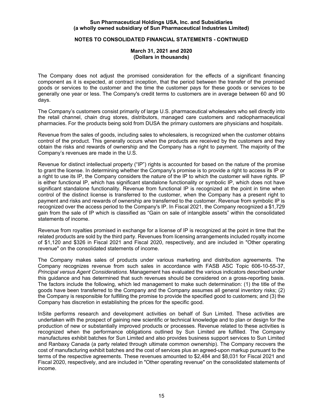### **NOTES TO CONSOLIDATED FINANCIAL STATEMENTS - CONTINUED**

#### **March 31, 2021 and 2020 (Dollars in thousands)**

The Company does not adjust the promised consideration for the effects of a significant financing component as it is expected, at contract inception, that the period between the transfer of the promised goods or services to the customer and the time the customer pays for these goods or services to be generally one year or less. The Company's credit terms to customers are in average between 60 and 90 days.

The Company's customers consist primarily of large U.S. pharmaceutical wholesalers who sell directly into the retail channel, chain drug stores, distributors, managed care customers and radiopharmaceutical pharmacies. For the products being sold from DUSA the primary customers are physicians and hospitals.

Revenue from the sales of goods, including sales to wholesalers, is recognized when the customer obtains control of the product. This generally occurs when the products are received by the customers and they obtain the risks and rewards of ownership and the Company has a right to payment. The majority of the Company's revenues are made in the U.S.

Revenue for distinct intellectual property ("IP") rights is accounted for based on the nature of the promise to grant the license. In determining whether the Company's promise is to provide a right to access its IP or a right to use its IP, the Company considers the nature of the IP to which the customer will have rights. IP is either functional IP, which has significant standalone functionality or symbolic IP, which does not have significant standalone functionality. Revenue from functional IP is recognized at the point in time when control of the distinct license is transferred to the customer, when the Company has a present right to payment and risks and rewards of ownership are transferred to the customer. Revenue from symbolic IP is recognized over the access period to the Company's IP. In Fiscal 2021, the Company recognized a \$1,729 gain from the sale of IP which is classified as "Gain on sale of intangible assets" within the consolidated statements of income.

Revenue from royalties promised in exchange for a license of IP is recognized at the point in time that the related products are sold by the third party. Revenues from licensing arrangements included royalty income of \$1,120 and \$326 in Fiscal 2021 and Fiscal 2020, respectively, and are included in "Other operating revenue" on the consolidated statements of income.

The Company makes sales of products under various marketing and distribution agreements. The Company recognizes revenue from such sales in accordance with FASB ASC Topic 606-10-55-37, *Principal versus Agent Considerations*. Management has evaluated the various indicators described under this guidance and has determined that such revenues should be considered on a gross-reporting basis. The factors include the following, which led management to make such determination: (1) the title of the goods have been transferred to the Company and the Company assumes all general inventory risks; (2) the Company is responsible for fulfilling the promise to provide the specified good to customers; and (3) the Company has discretion in establishing the prices for the specific good.

InSite performs research and development activities on behalf of Sun Limited. These activities are undertaken with the prospect of gaining new scientific or technical knowledge and to plan or design for the production of new or substantially improved products or processes. Revenue related to these activities is recognized when the performance obligations outlined by Sun Limited are fulfilled. The Company manufactures exhibit batches for Sun Limited and also provides business support services to Sun Limited and Ranbaxy Canada (a party related through ultimate common ownership). The Company recovers the cost of manufacturing exhibit batches and the cost of services plus an agreed-upon markup pursuant to the terms of the respective agreements. These revenues amounted to \$2,484 and \$8,031 for Fiscal 2021 and Fiscal 2020, respectively, and are included in "Other operating revenue" on the consolidated statements of income.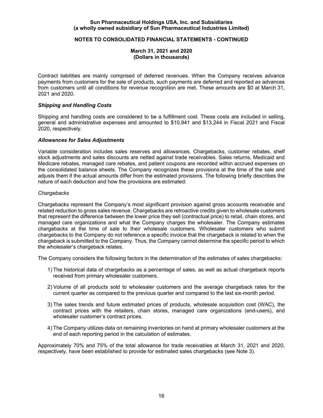# **NOTES TO CONSOLIDATED FINANCIAL STATEMENTS - CONTINUED**

### **March 31, 2021 and 2020 (Dollars in thousands)**

Contract liabilities are mainly comprised of deferred revenues. When the Company receives advance payments from customers for the sale of products, such payments are deferred and reported as advances from customers until all conditions for revenue recognition are met. These amounts are \$0 at March 31, 2021 and 2020.

#### *Shipping and Handling Costs*

Shipping and handling costs are considered to be a fulfillment cost. These costs are included in selling, general and administrative expenses and amounted to \$10,941 and \$13,244 in Fiscal 2021 and Fiscal 2020, respectively.

#### *Allowances for Sales Adjustments*

Variable consideration includes sales reserves and allowances. Chargebacks, customer rebates, shelf stock adjustments and sales discounts are netted against trade receivables. Sales returns, Medicaid and Medicare rebates, managed care rebates, and patient coupons are recorded within accrued expenses on the consolidated balance sheets. The Company recognizes these provisions at the time of the sale and adjusts them if the actual amounts differ from the estimated provisions. The following briefly describes the nature of each deduction and how the provisions are estimated:

#### *Chargebacks*

Chargebacks represent the Company's most significant provision against gross accounts receivable and related reduction to gross sales revenue. Chargebacks are retroactive credits given to wholesale customers that represent the difference between the lower price they sell (contractual price) to retail, chain stores, and managed care organizations and what the Company charges the wholesaler. The Company estimates chargebacks at the time of sale to their wholesale customers. Wholesaler customers who submit chargebacks to the Company do not reference a specific invoice that the chargeback is related to when the chargeback is submitted to the Company. Thus, the Company cannot determine the specific period to which the wholesaler's chargeback relates.

The Company considers the following factors in the determination of the estimates of sales chargebacks:

- 1) The historical data of chargebacks as a percentage of sales, as well as actual chargeback reports received from primary wholesaler customers.
- 2) Volume of all products sold to wholesaler customers and the average chargeback rates for the current quarter as compared to the previous quarter and compared to the last six-month period.
- 3) The sales trends and future estimated prices of products, wholesale acquisition cost (WAC), the contract prices with the retailers, chain stores, managed care organizations (end-users), and wholesaler customer's contract prices.
- 4) The Company utilizes data on remaining inventories on hand at primary wholesaler customers at the end of each reporting period in the calculation of estimates.

Approximately 70% and 75% of the total allowance for trade receivables at March 31, 2021 and 2020, respectively, have been established to provide for estimated sales chargebacks (see Note 3).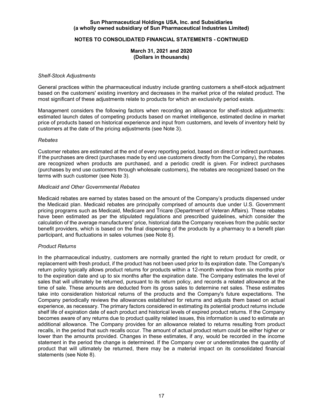# **NOTES TO CONSOLIDATED FINANCIAL STATEMENTS - CONTINUED**

#### **March 31, 2021 and 2020 (Dollars in thousands)**

#### *Shelf-Stock Adjustments*

General practices within the pharmaceutical industry include granting customers a shelf-stock adjustment based on the customers' existing inventory and decreases in the market price of the related product. The most significant of these adjustments relate to products for which an exclusivity period exists.

Management considers the following factors when recording an allowance for shelf-stock adjustments: estimated launch dates of competing products based on market intelligence, estimated decline in market price of products based on historical experience and input from customers, and levels of inventory held by customers at the date of the pricing adjustments (see Note 3).

#### *Rebates*

Customer rebates are estimated at the end of every reporting period, based on direct or indirect purchases. If the purchases are direct (purchases made by end use customers directly from the Company), the rebates are recognized when products are purchased, and a periodic credit is given. For indirect purchases (purchases by end use customers through wholesale customers), the rebates are recognized based on the terms with such customer (see Note 3).

#### *Medicaid and Other Governmental Rebates*

Medicaid rebates are earned by states based on the amount of the Company's products dispensed under the Medicaid plan. Medicaid rebates are principally comprised of amounts due under U.S. Government pricing programs such as Medicaid, Medicare and Tricare (Department of Veteran Affairs). These rebates have been estimated as per the stipulated regulations and prescribed guidelines, which consider the calculation of the average manufacturers' price, historical data the Company receives from the public sector benefit providers, which is based on the final dispensing of the products by a pharmacy to a benefit plan participant, and fluctuations in sales volumes (see Note 8).

#### *Product Returns*

In the pharmaceutical industry, customers are normally granted the right to return product for credit, or replacement with fresh product, if the product has not been used prior to its expiration date. The Company's return policy typically allows product returns for products within a 12-month window from six months prior to the expiration date and up to six months after the expiration date. The Company estimates the level of sales that will ultimately be returned, pursuant to its return policy, and records a related allowance at the time of sale. These amounts are deducted from its gross sales to determine net sales. These estimates take into consideration historical returns of the products and the Company's future expectations. The Company periodically reviews the allowances established for returns and adjusts them based on actual experience, as necessary. The primary factors considered in estimating its potential product returns include shelf life of expiration date of each product and historical levels of expired product returns. If the Company becomes aware of any returns due to product quality related issues, this information is used to estimate an additional allowance. The Company provides for an allowance related to returns resulting from product recalls, in the period that such recalls occur. The amount of actual product return could be either higher or lower than the amounts provided. Changes in these estimates, if any, would be recorded in the income statement in the period the change is determined. If the Company over or underestimates the quantity of product that will ultimately be returned, there may be a material impact on its consolidated financial statements (see Note 8).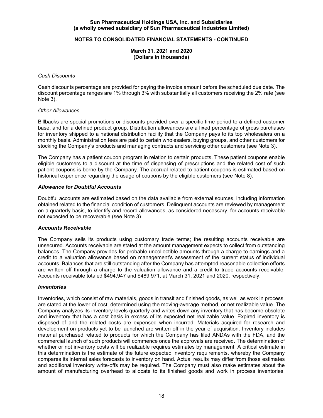# **NOTES TO CONSOLIDATED FINANCIAL STATEMENTS - CONTINUED**

#### **March 31, 2021 and 2020 (Dollars in thousands)**

#### *Cash Discounts*

Cash discounts percentage are provided for paying the invoice amount before the scheduled due date. The discount percentage ranges are 1% through 3% with substantially all customers receiving the 2% rate (see Note 3).

#### *Other Allowances*

Billbacks are special promotions or discounts provided over a specific time period to a defined customer base, and for a defined product group. Distribution allowances are a fixed percentage of gross purchases for inventory shipped to a national distribution facility that the Company pays to its top wholesalers on a monthly basis. Administration fees are paid to certain wholesalers, buying groups, and other customers for stocking the Company's products and managing contracts and servicing other customers (see Note 3).

The Company has a patient coupon program in relation to certain products. These patient coupons enable eligible customers to a discount at the time of dispensing of prescriptions and the related cost of such patient coupons is borne by the Company. The accrual related to patient coupons is estimated based on historical experience regarding the usage of coupons by the eligible customers (see Note 8).

#### *Allowance for Doubtful Accounts*

Doubtful accounts are estimated based on the data available from external sources, including information obtained related to the financial condition of customers. Delinquent accounts are reviewed by management on a quarterly basis, to identify and record allowances, as considered necessary, for accounts receivable not expected to be recoverable (see Note 3).

#### *Accounts Receivable*

The Company sells its products using customary trade terms; the resulting accounts receivable are unsecured. Accounts receivable are stated at the amount management expects to collect from outstanding balances. The Company provides for probable uncollectible amounts through a charge to earnings and a credit to a valuation allowance based on management's assessment of the current status of individual accounts. Balances that are still outstanding after the Company has attempted reasonable collection efforts are written off through a charge to the valuation allowance and a credit to trade accounts receivable. Accounts receivable totaled \$494,947 and \$489,971, at March 31, 2021 and 2020, respectively.

#### *Inventories*

Inventories, which consist of raw materials, goods in transit and finished goods, as well as work in process, are stated at the lower of cost, determined using the moving-average method, or net realizable value. The Company analyzes its inventory levels quarterly and writes down any inventory that has become obsolete and inventory that has a cost basis in excess of its expected net realizable value. Expired inventory is disposed of and the related costs are expensed when incurred. Materials acquired for research and development on products yet to be launched are written off in the year of acquisition. Inventory includes material purchased related to products for which the Company has filed ANDAs with the FDA, and the commercial launch of such products will commence once the approvals are received. The determination of whether or not inventory costs will be realizable requires estimates by management. A critical estimate in this determination is the estimate of the future expected inventory requirements, whereby the Company compares its internal sales forecasts to inventory on hand. Actual results may differ from those estimates and additional inventory write-offs may be required. The Company must also make estimates about the amount of manufacturing overhead to allocate to its finished goods and work in process inventories.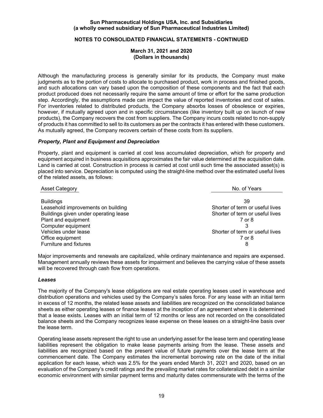# **NOTES TO CONSOLIDATED FINANCIAL STATEMENTS - CONTINUED**

### **March 31, 2021 and 2020 (Dollars in thousands)**

Although the manufacturing process is generally similar for its products, the Company must make judgments as to the portion of costs to allocate to purchased product, work in process and finished goods, and such allocations can vary based upon the composition of these components and the fact that each product produced does not necessarily require the same amount of time or effort for the same production step. Accordingly, the assumptions made can impact the value of reported inventories and cost of sales. For inventories related to distributed products, the Company absorbs losses of obsolesce or expiries, however, if mutually agreed upon and in specific circumstances (like inventory built up on launch of new products), the Company recovers the cost from suppliers. The Company incurs costs related to non-supply of products it has committed to sell to its customers as per the contracts it has entered with these customers. As mutually agreed, the Company recovers certain of these costs from its suppliers.

#### *Property, Plant and Equipment and Depreciation*

Property, plant and equipment is carried at cost less accumulated depreciation, which for property and equipment acquired in business acquisitions approximates the fair value determined at the acquisition date. Land is carried at cost. Construction in process is carried at cost until such time the associated asset(s) is placed into service. Depreciation is computed using the straight-line method over the estimated useful lives of the related assets, as follows:

| <b>Asset Category</b>                 | No. of Years                    |  |  |  |  |  |
|---------------------------------------|---------------------------------|--|--|--|--|--|
| <b>Buildings</b>                      | 39                              |  |  |  |  |  |
| Leasehold improvements on building    | Shorter of term or useful lives |  |  |  |  |  |
| Buildings given under operating lease | Shorter of term or useful lives |  |  |  |  |  |
| Plant and equipment                   | 7 or 8                          |  |  |  |  |  |
| Computer equipment                    |                                 |  |  |  |  |  |
| Vehicles under lease                  | Shorter of term or useful lives |  |  |  |  |  |
| Office equipment                      | 7 or 8                          |  |  |  |  |  |
| Furniture and fixtures                | 8                               |  |  |  |  |  |

Major improvements and renewals are capitalized, while ordinary maintenance and repairs are expensed. Management annually reviews these assets for impairment and believes the carrying value of these assets will be recovered through cash flow from operations.

#### *Leases*

The majority of the Company's lease obligations are real estate operating leases used in warehouse and distribution operations and vehicles used by the Company's sales force. For any lease with an initial term in excess of 12 months, the related lease assets and liabilities are recognized on the consolidated balance sheets as either operating leases or finance leases at the inception of an agreement where it is determined that a lease exists. Leases with an initial term of 12 months or less are not recorded on the consolidated balance sheets and the Company recognizes lease expense on these leases on a straight-line basis over the lease term.

Operating lease assets represent the right to use an underlying asset for the lease term and operating lease liabilities represent the obligation to make lease payments arising from the lease. These assets and liabilities are recognized based on the present value of future payments over the lease term at the commencement date. The Company estimates the incremental borrowing rate on the date of the initial application for each lease, which was 2.5% for the years ended March 31, 2021 and 2020, based on an evaluation of the Company's credit ratings and the prevailing market rates for collateralized debt in a similar economic environment with similar payment terms and maturity dates commensurate with the terms of the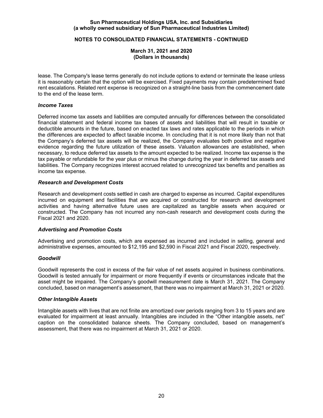# **NOTES TO CONSOLIDATED FINANCIAL STATEMENTS - CONTINUED**

#### **March 31, 2021 and 2020 (Dollars in thousands)**

lease. The Company's lease terms generally do not include options to extend or terminate the lease unless it is reasonably certain that the option will be exercised. Fixed payments may contain predetermined fixed rent escalations. Related rent expense is recognized on a straight-line basis from the commencement date to the end of the lease term.

#### *Income Taxes*

Deferred income tax assets and liabilities are computed annually for differences between the consolidated financial statement and federal income tax bases of assets and liabilities that will result in taxable or deductible amounts in the future, based on enacted tax laws and rates applicable to the periods in which the differences are expected to affect taxable income. In concluding that it is not more likely than not that the Company's deferred tax assets will be realized, the Company evaluates both positive and negative evidence regarding the future utilization of these assets. Valuation allowances are established, when necessary, to reduce deferred tax assets to the amount expected to be realized. Income tax expense is the tax payable or refundable for the year plus or minus the change during the year in deferred tax assets and liabilities. The Company recognizes interest accrued related to unrecognized tax benefits and penalties as income tax expense.

#### *Research and Development Costs*

Research and development costs settled in cash are charged to expense as incurred. Capital expenditures incurred on equipment and facilities that are acquired or constructed for research and development activities and having alternative future uses are capitalized as tangible assets when acquired or constructed. The Company has not incurred any non-cash research and development costs during the Fiscal 2021 and 2020.

#### *Advertising and Promotion Costs*

Advertising and promotion costs, which are expensed as incurred and included in selling, general and administrative expenses, amounted to \$12,195 and \$2,590 in Fiscal 2021 and Fiscal 2020, respectively.

#### *Goodwill*

Goodwill represents the cost in excess of the fair value of net assets acquired in business combinations. Goodwill is tested annually for impairment or more frequently if events or circumstances indicate that the asset might be impaired. The Company's goodwill measurement date is March 31, 2021. The Company concluded, based on management's assessment, that there was no impairment at March 31, 2021 or 2020.

#### *Other Intangible Assets*

Intangible assets with lives that are not finite are amortized over periods ranging from 3 to 15 years and are evaluated for impairment at least annually. Intangibles are included in the "Other intangible assets, net" caption on the consolidated balance sheets. The Company concluded, based on management's assessment, that there was no impairment at March 31, 2021 or 2020.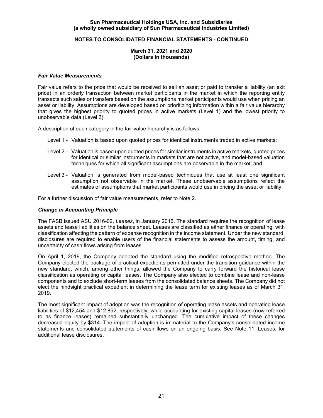# **NOTES TO CONSOLIDATED FINANCIAL STATEMENTS - CONTINUED**

#### **March 31, 2021 and 2020 (Dollars in thousands)**

#### *Fair Value Measurements*

Fair value refers to the price that would be received to sell an asset or paid to transfer a liability (an exit price) in an orderly transaction between market participants in the market in which the reporting entity transacts such sales or transfers based on the assumptions market participants would use when pricing an asset or liability. Assumptions are developed based on prioritizing information within a fair value hierarchy that gives the highest priority to quoted prices in active markets (Level 1) and the lowest priority to unobservable data (Level 3).

A description of each category in the fair value hierarchy is as follows:

- Level 1 Valuation is based upon quoted prices for identical instruments traded in active markets;
- Level 2 Valuation is based upon quoted prices for similar instruments in active markets, quoted prices for identical or similar instruments in markets that are not active, and model-based valuation techniques for which all significant assumptions are observable in the market; and
- Level 3 Valuation is generated from model-based techniques that use at least one significant assumption not observable in the market. These unobservable assumptions reflect the estimates of assumptions that market participants would use in pricing the asset or liability.

For a further discussion of fair value measurements, refer to Note 2.

#### *Change in Accounting Principle*

The FASB issued ASU 2016-02, *Leases*, in January 2016. The standard requires the recognition of lease assets and lease liabilities on the balance sheet. Leases are classified as either finance or operating, with classification affecting the pattern of expense recognition in the income statement. Under the new standard, disclosures are required to enable users of the financial statements to assess the amount, timing, and uncertainty of cash flows arising from leases.

On April 1, 2019, the Company adopted the standard using the modified retrospective method. The Company elected the package of practical expedients permitted under the transition guidance within the new standard, which, among other things, allowed the Company to carry forward the historical lease classification as operating or capital leases. The Company also elected to combine lease and non-lease components and to exclude short-term leases from the consolidated balance sheets. The Company did not elect the hindsight practical expedient in determining the lease term for existing leases as of March 31, 2019.

The most significant impact of adoption was the recognition of operating lease assets and operating lease liabilities of \$12,454 and \$12,852, respectively, while accounting for existing capital leases (now referred to as finance leases) remained substantially unchanged. The cumulative impact of these changes decreased equity by \$314. The impact of adoption is immaterial to the Company's consolidated income statements and consolidated statements of cash flows on an ongoing basis. See Note 11, Leases, for additional lease disclosures.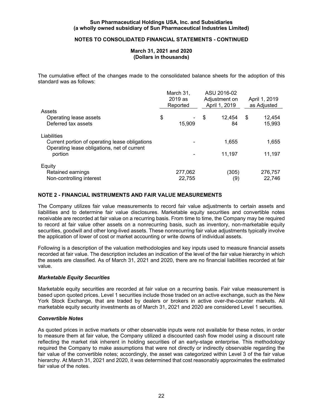# **NOTES TO CONSOLIDATED FINANCIAL STATEMENTS - CONTINUED**

# **March 31, 2021 and 2020 (Dollars in thousands)**

The cumulative effect of the changes made to the consolidated balance sheets for the adoption of this standard was as follows:

|                                                                                               | March 31,<br>2019 as<br>Reported |         | ASU 2016-02<br>Adjustment on<br>April 1, 2019 | April 1, 2019<br>as Adjusted |         |  |
|-----------------------------------------------------------------------------------------------|----------------------------------|---------|-----------------------------------------------|------------------------------|---------|--|
| Assets                                                                                        |                                  |         |                                               |                              |         |  |
| Operating lease assets                                                                        | \$                               |         | \$<br>12.454                                  | \$                           | 12,454  |  |
| Deferred tax assets                                                                           |                                  | 15,909  | 84                                            |                              | 15,993  |  |
| Liabilities                                                                                   |                                  |         |                                               |                              |         |  |
| Current portion of operating lease obligations<br>Operating lease obligations, net of current |                                  |         | 1.655                                         |                              | 1,655   |  |
| portion                                                                                       |                                  |         | 11,197                                        |                              | 11,197  |  |
| Equity                                                                                        |                                  |         |                                               |                              |         |  |
| Retained earnings                                                                             |                                  | 277,062 | (305)                                         |                              | 276,757 |  |
| Non-controlling interest                                                                      |                                  | 22,755  | (9)                                           |                              | 22,746  |  |

# **NOTE 2 - FINANCIAL INSTRUMENTS AND FAIR VALUE MEASUREMENTS**

The Company utilizes fair value measurements to record fair value adjustments to certain assets and liabilities and to determine fair value disclosures. Marketable equity securities and convertible notes receivable are recorded at fair value on a recurring basis. From time to time, the Company may be required to record at fair value other assets on a nonrecurring basis, such as inventory, non-marketable equity securities, goodwill and other long-lived assets. These nonrecurring fair value adjustments typically involve the application of lower of cost or market accounting or write downs of individual assets.

Following is a description of the valuation methodologies and key inputs used to measure financial assets recorded at fair value. The description includes an indication of the level of the fair value hierarchy in which the assets are classified. As of March 31, 2021 and 2020, there are no financial liabilities recorded at fair value.

#### *Marketable Equity Securities*

Marketable equity securities are recorded at fair value on a recurring basis. Fair value measurement is based upon quoted prices. Level 1 securities include those traded on an active exchange, such as the New York Stock Exchange, that are traded by dealers or brokers in active over-the-counter markets. All marketable equity security investments as of March 31, 2021 and 2020 are considered Level 1 securities.

#### *Convertible Notes*

As quoted prices in active markets or other observable inputs were not available for these notes, in order to measure them at fair value, the Company utilized a discounted cash flow model using a discount rate reflecting the market risk inherent in holding securities of an early-stage enterprise. This methodology required the Company to make assumptions that were not directly or indirectly observable regarding the fair value of the convertible notes; accordingly, the asset was categorized within Level 3 of the fair value hierarchy. At March 31, 2021 and 2020, it was determined that cost reasonably approximates the estimated fair value of the notes.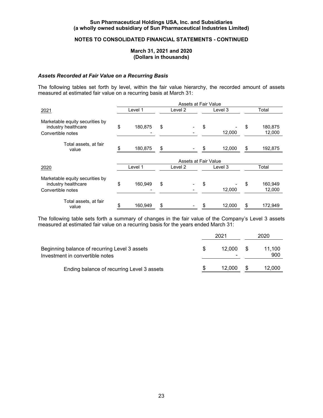# **NOTES TO CONSOLIDATED FINANCIAL STATEMENTS - CONTINUED**

#### **March 31, 2021 and 2020 (Dollars in thousands)**

#### *Assets Recorded at Fair Value on a Recurring Basis*

The following tables set forth by level, within the fair value hierarchy, the recorded amount of assets measured at estimated fair value on a recurring basis at March 31:

|                                                                             | Assets at Fair Value |         |    |                      |    |         |    |                   |
|-----------------------------------------------------------------------------|----------------------|---------|----|----------------------|----|---------|----|-------------------|
| 2021                                                                        |                      | Level 1 |    | Level 2              |    | Level 3 |    | Total             |
| Marketable equity securities by<br>industry healthcare<br>Convertible notes | \$                   | 180,875 | \$ |                      | \$ | 12,000  | \$ | 180,875<br>12,000 |
| Total assets, at fair<br>value                                              | \$                   | 180,875 | \$ |                      | \$ | 12,000  | \$ | 192,875           |
|                                                                             |                      |         |    | Assets at Fair Value |    |         |    |                   |
| 2020                                                                        |                      | Level 1 |    | Level 2              |    | Level 3 |    | Total             |
| Marketable equity securities by<br>industry healthcare<br>Convertible notes | \$                   | 160,949 | \$ |                      | \$ | 12,000  | \$ | 160,949<br>12,000 |
| Total assets, at fair<br>value                                              | \$                   | 160.949 | \$ |                      | \$ | 12.000  | \$ | 172,949           |

The following table sets forth a summary of changes in the fair value of the Company's Level 3 assets measured at estimated fair value on a recurring basis for the years ended March 31:

|                                                                                  |   | 2020        |  |               |
|----------------------------------------------------------------------------------|---|-------------|--|---------------|
| Beginning balance of recurring Level 3 assets<br>Investment in convertible notes | S | 12.000<br>- |  | 11,100<br>900 |
| Ending balance of recurring Level 3 assets                                       |   | 12.000      |  | 12,000        |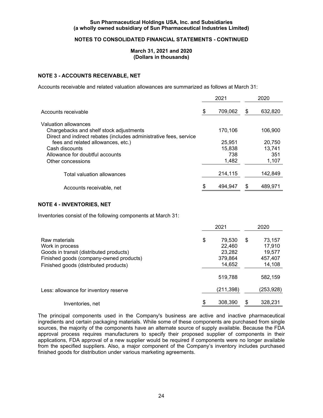# **NOTES TO CONSOLIDATED FINANCIAL STATEMENTS - CONTINUED**

#### **March 31, 2021 and 2020 (Dollars in thousands)**

# **NOTE 3 - ACCOUNTS RECEIVABLE, NET**

Accounts receivable and related valuation allowances are summarized as follows at March 31:

|                                                                                                               | 2021          |   | 2020    |
|---------------------------------------------------------------------------------------------------------------|---------------|---|---------|
| Accounts receivable                                                                                           | \$<br>709,062 | S | 632,820 |
| Valuation allowances                                                                                          |               |   |         |
| Chargebacks and shelf stock adjustments<br>Direct and indirect rebates (includes administrative fees, service | 170,106       |   | 106,900 |
| fees and related allowances, etc.)                                                                            | 25.951        |   | 20,750  |
| Cash discounts                                                                                                | 15,838        |   | 13.741  |
| Allowance for doubtful accounts                                                                               | 738           |   | 351     |
| Other concessions                                                                                             | 1,482         |   | 1,107   |
| Total valuation allowances                                                                                    | 214.115       |   | 142.849 |
| Accounts receivable, net                                                                                      | 494,947       |   | 489,971 |
|                                                                                                               |               |   |         |

#### **NOTE 4 - INVENTORIES, NET**

Inventories consist of the following components at March 31:

|                                                            | 2021 |                   |   | 2020              |  |  |
|------------------------------------------------------------|------|-------------------|---|-------------------|--|--|
| Raw materials                                              | \$   | 79,530            | S | 73,157            |  |  |
| Work in process<br>Goods in transit (distributed products) |      | 22.460<br>23,282  |   | 17,910<br>19,577  |  |  |
| Finished goods (company-owned products)                    |      | 379,864<br>14,652 |   | 457,407<br>14,108 |  |  |
| Finished goods (distributed products)                      |      |                   |   |                   |  |  |
|                                                            |      | 519,788           |   | 582,159           |  |  |
| Less: allowance for inventory reserve                      |      | (211, 398)        |   | (253, 928)        |  |  |
| Inventories, net                                           | \$   | 308,390           | S | 328,231           |  |  |

The principal components used in the Company's business are active and inactive pharmaceutical ingredients and certain packaging materials. While some of these components are purchased from single sources, the majority of the components have an alternate source of supply available. Because the FDA approval process requires manufacturers to specify their proposed supplier of components in their applications, FDA approval of a new supplier would be required if components were no longer available from the specified suppliers. Also, a major component of the Company's inventory includes purchased finished goods for distribution under various marketing agreements.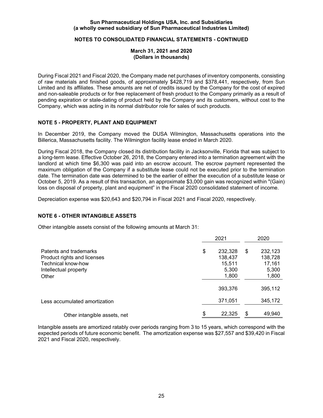# **NOTES TO CONSOLIDATED FINANCIAL STATEMENTS - CONTINUED**

#### **March 31, 2021 and 2020 (Dollars in thousands)**

During Fiscal 2021 and Fiscal 2020, the Company made net purchases of inventory components, consisting of raw materials and finished goods, of approximately \$428,719 and \$378,441, respectively, from Sun Limited and its affiliates. These amounts are net of credits issued by the Company for the cost of expired and non-saleable products or for free replacement of fresh product to the Company primarily as a result of pending expiration or stale-dating of product held by the Company and its customers, without cost to the Company, which was acting in its normal distributor role for sales of such products.

# **NOTE 5 - PROPERTY, PLANT AND EQUIPMENT**

In December 2019, the Company moved the DUSA Wilmington, Massachusetts operations into the Billerica, Massachusetts facility. The Wilmington facility lease ended in March 2020.

During Fiscal 2018, the Company closed its distribution facility in Jacksonville, Florida that was subject to a long-term lease. Effective October 26, 2018, the Company entered into a termination agreement with the landlord at which time \$6,300 was paid into an escrow account. The escrow payment represented the maximum obligation of the Company if a substitute lease could not be executed prior to the termination date. The termination date was determined to be the earlier of either the execution of a substitute lease or October 5, 2019. As a result of this transaction, an approximate \$3,000 gain was recognized within "(Gain) loss on disposal of property, plant and equipment" in the Fiscal 2020 consolidated statement of income.

Depreciation expense was \$20,643 and \$20,794 in Fiscal 2021 and Fiscal 2020, respectively.

# **NOTE 6 - OTHER INTANGIBLE ASSETS**

Other intangible assets consist of the following amounts at March 31:

|                                                                                                               | 2021 |                                                | 2020 |                                                |
|---------------------------------------------------------------------------------------------------------------|------|------------------------------------------------|------|------------------------------------------------|
| Patents and trademarks<br>Product rights and licenses<br>Technical know-how<br>Intellectual property<br>Other | \$   | 232,328<br>138,437<br>15,511<br>5,300<br>1,800 | \$   | 232,123<br>138,728<br>17,161<br>5,300<br>1,800 |
|                                                                                                               |      | 393,376                                        |      | 395,112                                        |
| Less accumulated amortization                                                                                 |      | 371,051                                        |      | 345,172                                        |
| Other intangible assets, net                                                                                  | \$   | 22,325                                         | \$   | 49,940                                         |

Intangible assets are amortized ratably over periods ranging from 3 to 15 years, which correspond with the expected periods of future economic benefit. The amortization expense was \$27,557 and \$39,420 in Fiscal 2021 and Fiscal 2020, respectively.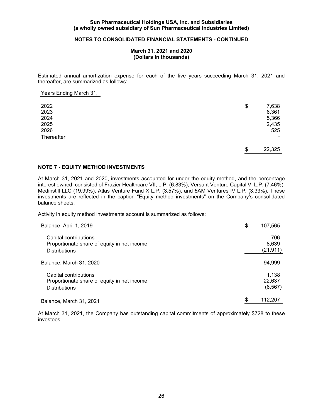# **NOTES TO CONSOLIDATED FINANCIAL STATEMENTS - CONTINUED**

#### **March 31, 2021 and 2020 (Dollars in thousands)**

Estimated annual amortization expense for each of the five years succeeding March 31, 2021 and thereafter, are summarized as follows:

Years Ending March 31,

| 2022<br>2023<br>2024<br>2025<br>2026<br>Thereafter | \$<br>7,638<br>6,361<br>5,366<br>2,435<br>525<br>۰ |
|----------------------------------------------------|----------------------------------------------------|
|                                                    | \$<br>22,325                                       |

#### **NOTE 7 - EQUITY METHOD INVESTMENTS**

At March 31, 2021 and 2020, investments accounted for under the equity method, and the percentage interest owned, consisted of Frazier Healthcare VII, L.P. (6.83%), Versant Venture Capital V, L.P. (7.46%), Medinstill LLC (19.99%), Atlas Venture Fund X L.P. (3.57%), and 5AM Ventures IV L.P. (3.33%). These investments are reflected in the caption "Equity method investments" on the Company's consolidated balance sheets.

Activity in equity method investments account is summarized as follows:

| Balance, April 1, 2019                                                                       | \$<br>107,565               |
|----------------------------------------------------------------------------------------------|-----------------------------|
| Capital contributions<br>Proportionate share of equity in net income<br><b>Distributions</b> | 706<br>8,639<br>(21, 911)   |
| Balance, March 31, 2020                                                                      | 94.999                      |
| Capital contributions<br>Proportionate share of equity in net income<br><b>Distributions</b> | 1.138<br>22,637<br>(6, 567) |
| Balance, March 31, 2021                                                                      | \$<br>112.207               |

At March 31, 2021, the Company has outstanding capital commitments of approximately \$728 to these investees.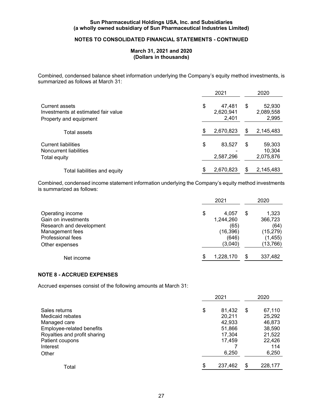# **NOTES TO CONSOLIDATED FINANCIAL STATEMENTS - CONTINUED**

## **March 31, 2021 and 2020 (Dollars in thousands)**

Combined, condensed balance sheet information underlying the Company's equity method investments, is summarized as follows at March 31:

|                                                                                 |    | 2020                         |    |                               |
|---------------------------------------------------------------------------------|----|------------------------------|----|-------------------------------|
| Current assets<br>Investments at estimated fair value<br>Property and equipment |    | 47.481<br>2,620,941<br>2,401 | \$ | 52,930<br>2,089,558<br>2,995  |
| Total assets                                                                    | \$ | 2,670,823                    | \$ | 2,145,483                     |
| <b>Current liabilities</b><br>Noncurrent liabilities<br>Total equity            | \$ | 83,527<br>2,587,296          | \$ | 59,303<br>10,304<br>2,075,876 |
| Total liabilities and equity                                                    | \$ | 2,670,823                    | S  | 2,145,483                     |

Combined, condensed income statement information underlying the Company's equity method investments is summarized as follows:

|                          |    | 2021      |    | 2020      |  |
|--------------------------|----|-----------|----|-----------|--|
| Operating income         | \$ | 4.057     | \$ | 1,323     |  |
| Gain on investments      |    | 1,244,260 |    | 366,723   |  |
| Research and development |    | (65)      |    | (64)      |  |
| Management fees          |    | (16, 396) |    | (15, 279) |  |
| Professional fees        |    | (646)     |    | (1, 455)  |  |
| Other expenses           |    | (3,040)   |    | (13, 766) |  |
| Net income               | S  | 1,228,170 | S  | 337,482   |  |

# **NOTE 8 - ACCRUED EXPENSES**

Accrued expenses consist of the following amounts at March 31:

|                              | 2021 |         | 2020 |         |
|------------------------------|------|---------|------|---------|
| Sales returns                | \$   | 81,432  | \$   | 67,110  |
| Medicaid rebates             |      | 20,211  |      | 25,292  |
| Managed care                 |      | 42,933  |      | 46,873  |
| Employee-related benefits    |      | 51,866  |      | 38,590  |
| Royalties and profit sharing |      | 17,304  |      | 21,522  |
| Patient coupons              |      | 17,459  |      | 22,426  |
| Interest                     |      |         |      | 114     |
| Other                        |      | 6,250   |      | 6,250   |
| Total                        | \$   | 237,462 | \$   | 228,177 |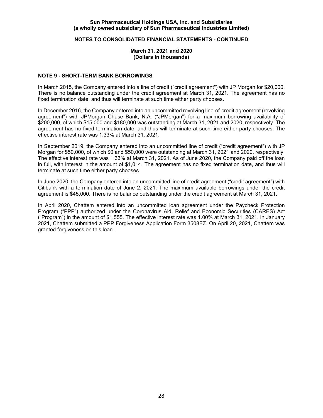## **NOTES TO CONSOLIDATED FINANCIAL STATEMENTS - CONTINUED**

**March 31, 2021 and 2020 (Dollars in thousands)** 

#### **NOTE 9 - SHORT-TERM BANK BORROWINGS**

In March 2015, the Company entered into a line of credit ("credit agreement") with JP Morgan for \$20,000. There is no balance outstanding under the credit agreement at March 31, 2021. The agreement has no fixed termination date, and thus will terminate at such time either party chooses.

In December 2016, the Company entered into an uncommitted revolving line-of-credit agreement (revolving agreement") with JPMorgan Chase Bank, N.A. ("JPMorgan") for a maximum borrowing availability of \$200,000, of which \$15,000 and \$180,000 was outstanding at March 31, 2021 and 2020, respectively. The agreement has no fixed termination date, and thus will terminate at such time either party chooses. The effective interest rate was 1.33% at March 31, 2021.

In September 2019, the Company entered into an uncommitted line of credit ("credit agreement") with JP Morgan for \$50,000, of which \$0 and \$50,000 were outstanding at March 31, 2021 and 2020, respectively. The effective interest rate was 1.33% at March 31, 2021. As of June 2020, the Company paid off the loan in full, with interest in the amount of \$1,014. The agreement has no fixed termination date, and thus will terminate at such time either party chooses.

In June 2020, the Company entered into an uncommitted line of credit agreement ("credit agreement") with Citibank with a termination date of June 2, 2021. The maximum available borrowings under the credit agreement is \$45,000. There is no balance outstanding under the credit agreement at March 31, 2021.

In April 2020, Chattem entered into an uncommitted loan agreement under the Paycheck Protection Program ("PPP") authorized under the Coronavirus Aid, Relief and Economic Securities (CARES) Act ("Program") in the amount of \$1,555. The effective interest rate was 1.00% at March 31, 2021. In January 2021, Chattem submitted a PPP Forgiveness Application Form 3508EZ. On April 20, 2021, Chattem was granted forgiveness on this loan.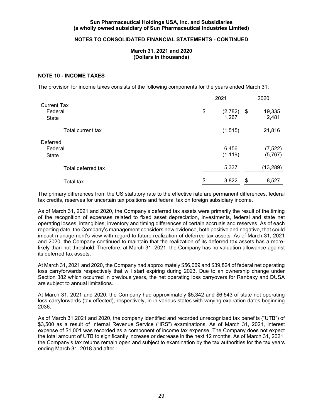#### **NOTES TO CONSOLIDATED FINANCIAL STATEMENTS - CONTINUED**

#### **March 31, 2021 and 2020 (Dollars in thousands)**

## **NOTE 10 - INCOME TAXES**

The provision for income taxes consists of the following components for the years ended March 31:

|                                        | 2021                   | 2020                  |
|----------------------------------------|------------------------|-----------------------|
| <b>Current Tax</b><br>Federal<br>State | \$<br>(2,782)<br>1,267 | 19,335<br>\$<br>2,481 |
| Total current tax                      | (1, 515)               | 21,816                |
| Deferred<br>Federal<br>State           | 6,456<br>(1, 119)      | (7, 522)<br>(5,767)   |
| Total deferred tax                     | 5,337                  | (13, 289)             |
| Total tax                              | \$<br>3,822            | \$<br>8,527           |

The primary differences from the US statutory rate to the effective rate are permanent differences, federal tax credits, reserves for uncertain tax positions and federal tax on foreign subsidiary income.

As of March 31, 2021 and 2020, the Company's deferred tax assets were primarily the result of the timing of the recognition of expenses related to fixed asset depreciation, investments, federal and state net operating losses, intangibles, inventory and timing differences of certain accruals and reserves. As of each reporting date, the Company's management considers new evidence, both positive and negative, that could impact management's view with regard to future realization of deferred tax assets. As of March 31, 2021 and 2020, the Company continued to maintain that the realization of its deferred tax assets has a morelikely-than-not threshold. Therefore, at March 31, 2021, the Company has no valuation allowance against its deferred tax assets.

At March 31, 2021 and 2020, the Company had approximately \$56,069 and \$39,824 of federal net operating loss carryforwards respectively that will start expiring during 2023. Due to an ownership change under Section 382 which occurred in previous years, the net operating loss carryovers for Ranbaxy and DUSA are subject to annual limitations.

At March 31, 2021 and 2020, the Company had approximately \$5,342 and \$6,543 of state net operating loss carryforwards (tax-effected), respectively, in in various states with varying expiration dates beginning 2036.

As of March 31,2021 and 2020, the company identified and recorded unrecognized tax benefits ("UTB") of \$3,500 as a result of Internal Revenue Service ("IRS") examinations. As of March 31, 2021, interest expense of \$1,001 was recorded as a component of income tax expense. The Company does not expect the total amount of UTB to significantly increase or decrease in the next 12 months. As of March 31, 2021, the Company's tax returns remain open and subject to examination by the tax authorities for the tax years ending March 31, 2018 and after.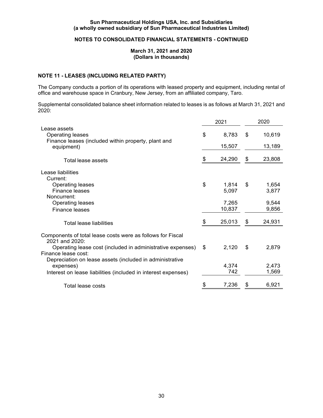# **NOTES TO CONSOLIDATED FINANCIAL STATEMENTS - CONTINUED**

#### **March 31, 2021 and 2020 (Dollars in thousands)**

# **NOTE 11 - LEASES (INCLUDING RELATED PARTY)**

The Company conducts a portion of its operations with leased property and equipment, including rental of office and warehouse space in Cranbury, New Jersey, from an affiliated company, Taro.

Supplemental consolidated balance sheet information related to leases is as follows at March 31, 2021 and 2020:

|                                                                                                |    | 2021            |    | 2020           |
|------------------------------------------------------------------------------------------------|----|-----------------|----|----------------|
| Lease assets<br><b>Operating leases</b><br>Finance leases (included within property, plant and | \$ | 8,783           | \$ | 10,619         |
| equipment)                                                                                     |    | 15,507          |    | 13,189         |
| Total lease assets                                                                             | \$ | 24,290          | \$ | 23,808         |
| Lease liabilities                                                                              |    |                 |    |                |
| Current:<br><b>Operating leases</b>                                                            | \$ | 1,814           | S  | 1,654          |
| <b>Finance leases</b><br>Noncurrent:                                                           |    | 5,097           |    | 3,877          |
| <b>Operating leases</b><br><b>Finance leases</b>                                               |    | 7,265<br>10,837 |    | 9,544<br>9,856 |
|                                                                                                |    |                 |    |                |
| <b>Total lease liabilities</b>                                                                 | \$ | 25,013          | \$ | 24,931         |
| Components of total lease costs were as follows for Fiscal<br>$2021$ and $2020$ :              |    |                 |    |                |
| Operating lease cost (included in administrative expenses)<br>Finance lease cost:              | \$ | 2,120           | \$ | 2,879          |
| Depreciation on lease assets (included in administrative<br>expenses)                          |    | 4,374           |    | 2,473          |
| Interest on lease liabilities (included in interest expenses)                                  |    | 742             |    | 1,569          |
| Total lease costs                                                                              | S  | 7,236           | \$ | 6,921          |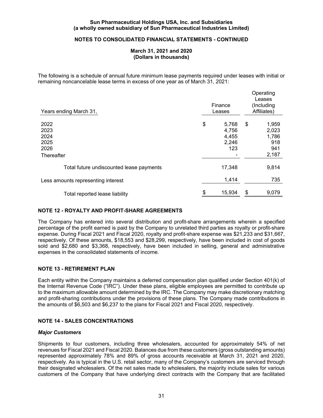# **NOTES TO CONSOLIDATED FINANCIAL STATEMENTS - CONTINUED**

## **March 31, 2021 and 2020 (Dollars in thousands)**

The following is a schedule of annual future minimum lease payments required under leases with initial or remaining noncancelable lease terms in excess of one year as of March 31, 2021:

| Years ending March 31,                   | Finance<br>Leases | Operating<br>Leases<br>(Including<br>Affiliates) |       |  |
|------------------------------------------|-------------------|--------------------------------------------------|-------|--|
| 2022                                     | \$<br>5,768       | \$                                               | 1,959 |  |
| 2023                                     | 4,756             |                                                  | 2,023 |  |
| 2024                                     | 4,455             |                                                  | 1,786 |  |
| 2025                                     | 2,246             |                                                  | 918   |  |
| 2026                                     | 123               |                                                  | 941   |  |
| Thereafter                               |                   |                                                  | 2,187 |  |
| Total future undiscounted lease payments | 17,348            |                                                  | 9,814 |  |
| Less amounts representing interest       | 1,414             |                                                  | 735   |  |
| Total reported lease liability           | \$<br>15,934      | \$                                               | 9,079 |  |

# **NOTE 12 - ROYALTY AND PROFIT-SHARE AGREEMENTS**

The Company has entered into several distribution and profit-share arrangements wherein a specified percentage of the profit earned is paid by the Company to unrelated third parties as royalty or profit-share expense. During Fiscal 2021 and Fiscal 2020, royalty and profit-share expense was \$21,233 and \$31,667, respectively. Of these amounts, \$18,553 and \$28,299, respectively, have been included in cost of goods sold and \$2,680 and \$3,368, respectively, have been included in selling, general and administrative expenses in the consolidated statements of income.

# **NOTE 13 - RETIREMENT PLAN**

Each entity within the Company maintains a deferred compensation plan qualified under Section 401(k) of the Internal Revenue Code ("IRC"). Under these plans, eligible employees are permitted to contribute up to the maximum allowable amount determined by the IRC. The Company may make discretionary matching and profit-sharing contributions under the provisions of these plans. The Company made contributions in the amounts of \$6,503 and \$6,237 to the plans for Fiscal 2021 and Fiscal 2020, respectively.

# **NOTE 14 - SALES CONCENTRATIONS**

#### *Major Customers*

Shipments to four customers, including three wholesalers, accounted for approximately 54% of net revenues for Fiscal 2021 and Fiscal 2020. Balances due from these customers (gross outstanding amounts) represented approximately 78% and 89% of gross accounts receivable at March 31, 2021 and 2020, respectively. As is typical in the U.S. retail sector, many of the Company's customers are serviced through their designated wholesalers. Of the net sales made to wholesalers, the majority include sales for various customers of the Company that have underlying direct contracts with the Company that are facilitated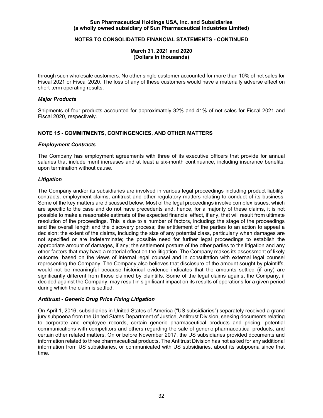# **NOTES TO CONSOLIDATED FINANCIAL STATEMENTS - CONTINUED**

### **March 31, 2021 and 2020 (Dollars in thousands)**

through such wholesale customers. No other single customer accounted for more than 10% of net sales for Fiscal 2021 or Fiscal 2020. The loss of any of these customers would have a materially adverse effect on short-term operating results.

# *Major Products*

Shipments of four products accounted for approximately 32% and 41% of net sales for Fiscal 2021 and Fiscal 2020, respectively.

# **NOTE 15 - COMMITMENTS, CONTINGENCIES, AND OTHER MATTERS**

#### *Employment Contracts*

The Company has employment agreements with three of its executive officers that provide for annual salaries that include merit increases and at least a six-month continuance, including insurance benefits, upon termination without cause.

#### *Litigation*

The Company and/or its subsidiaries are involved in various legal proceedings including product liability, contracts, employment claims, antitrust and other regulatory matters relating to conduct of its business. Some of the key matters are discussed below. Most of the legal proceedings involve complex issues, which are specific to the case and do not have precedents and, hence, for a majority of these claims, it is not possible to make a reasonable estimate of the expected financial effect, if any, that will result from ultimate resolution of the proceedings. This is due to a number of factors, including: the stage of the proceedings and the overall length and the discovery process; the entitlement of the parties to an action to appeal a decision; the extent of the claims, including the size of any potential class, particularly when damages are not specified or are indeterminate; the possible need for further legal proceedings to establish the appropriate amount of damages, if any; the settlement posture of the other parties to the litigation and any other factors that may have a material effect on the litigation. The Company makes its assessment of likely outcome, based on the views of internal legal counsel and in consultation with external legal counsel representing the Company. The Company also believes that disclosure of the amount sought by plaintiffs, would not be meaningful because historical evidence indicates that the amounts settled (if any) are significantly different from those claimed by plaintiffs. Some of the legal claims against the Company, if decided against the Company, may result in significant impact on its results of operations for a given period during which the claim is settled.

#### *Antitrust - Generic Drug Price Fixing Litigation*

On April 1, 2016, subsidiaries in United States of America ("US subsidiaries") separately received a grand jury subpoena from the United States Department of Justice, Antitrust Division, seeking documents relating to corporate and employee records, certain generic pharmaceutical products and pricing, potential communications with competitors and others regarding the sale of generic pharmaceutical products, and certain other related matters. On or before November 2017, the US subsidiaries provided documents and information related to three pharmaceutical products. The Antitrust Division has not asked for any additional information from US subsidiaries, or communicated with US subsidiaries, about its subpoena since that time.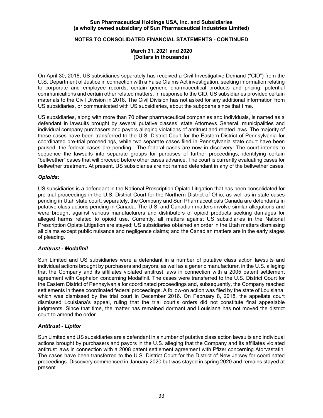# **NOTES TO CONSOLIDATED FINANCIAL STATEMENTS - CONTINUED**

### **March 31, 2021 and 2020 (Dollars in thousands)**

On April 30, 2018, US subsidiaries separately has received a Civil Investigative Demand ("CID") from the U.S. Department of Justice in connection with a False Claims Act investigation, seeking information relating to corporate and employee records, certain generic pharmaceutical products and pricing, potential communications and certain other related matters. In response to the CID, US subsidiaries provided certain materials to the Civil Division in 2018. The Civil Division has not asked for any additional information from US subsidiaries, or communicated with US subsidiaries, about the subpoena since that time.

US subsidiaries, along with more than 70 other pharmaceutical companies and individuals, is named as a defendant in lawsuits brought by several putative classes, state Attorneys General, municipalities and individual company purchasers and payors alleging violations of antitrust and related laws. The majority of these cases have been transferred to the U.S. District Court for the Eastern District of Pennsylvania for coordinated pre-trial proceedings, while two separate cases filed in Pennsylvania state court have been paused, the federal cases are pending. The federal cases are now in discovery. The court intends to sequence the lawsuits into separate groups for purposes of further proceedings, identifying certain "bellwether" cases that will proceed before other cases advance. The court is currently evaluating cases for bellwether treatment. At present, US subsidiaries are not named defendant in any of the bellwether cases.

# *Opioids:*

US subsidiaries is a defendant in the National Prescription Opiate Litigation that has been consolidated for pre-trial proceedings in the U.S. District Court for the Northern District of Ohio, as well as in state cases pending in Utah state court; separately, the Company and Sun Pharmaceuticals Canada are defendants in putative class actions pending in Canada. The U.S. and Canadian matters involve similar allegations and were brought against various manufacturers and distributors of opioid products seeking damages for alleged harms related to opioid use. Currently, all matters against US subsidiaries in the National Prescription Opiate Litigation are stayed; US subsidiaries obtained an order in the Utah matters dismissing all claims except public nuisance and negligence claims; and the Canadian matters are in the early stages of pleading.

# *Antitrust - Modafinil*

Sun Limited and US subsidiaries were a defendant in a number of putative class action lawsuits and individual actions brought by purchasers and payors, as well as a generic manufacturer, in the U.S. alleging that the Company and its affiliates violated antitrust laws in connection with a 2005 patent settlement agreement with Cephalon concerning Modafinil. The cases were transferred to the U.S. District Court for the Eastern District of Pennsylvania for coordinated proceedings and, subsequently, the Company reached settlements in these coordinated federal proceedings. A follow-on action was filed by the state of Louisiana, which was dismissed by the trial court in December 2016. On February 8, 2018, the appellate court dismissed Louisiana's appeal, ruling that the trial court's orders did not constitute final appealable judgments. Since that time, the matter has remained dormant and Louisiana has not moved the district court to amend the order.

# *Antitrust - Lipitor*

Sun Limited and US subsidiaries are a defendant in a number of putative class action lawsuits and individual actions brought by purchasers and payors in the U.S. alleging that the Company and its affiliates violated antitrust laws in connection with a 2008 patent settlement agreement with Pfizer concerning Atorvastatin. The cases have been transferred to the U.S. District Court for the District of New Jersey for coordinated proceedings. Discovery commenced in January 2020 but was stayed in spring 2020 and remains stayed at present.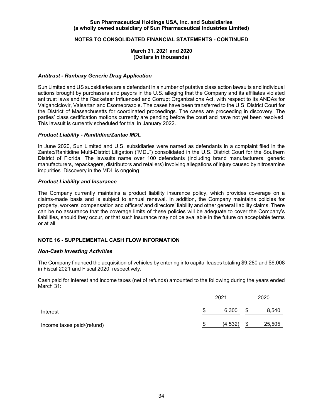# **NOTES TO CONSOLIDATED FINANCIAL STATEMENTS - CONTINUED**

**March 31, 2021 and 2020 (Dollars in thousands)** 

#### *Antitrust - Ranbaxy Generic Drug Application*

Sun Limited and US subsidiaries are a defendant in a number of putative class action lawsuits and individual actions brought by purchasers and payors in the U.S. alleging that the Company and its affiliates violated antitrust laws and the Racketeer Influenced and Corrupt Organizations Act, with respect to its ANDAs for Valganciclovir, Valsartan and Esomeprazole. The cases have been transferred to the U.S. District Court for the District of Massachusetts for coordinated proceedings. The cases are proceeding in discovery. The parties' class certification motions currently are pending before the court and have not yet been resolved. This lawsuit is currently scheduled for trial in January 2022.

#### *Product Liability - Ranitidine/Zantac MDL*

In June 2020, Sun Limited and U.S. subsidiaries were named as defendants in a complaint filed in the Zantac/Ranitidine Multi-District Litigation ("MDL") consolidated in the U.S. District Court for the Southern District of Florida. The lawsuits name over 100 defendants (including brand manufacturers, generic manufacturers, repackagers, distributors and retailers) involving allegations of injury caused by nitrosamine impurities. Discovery in the MDL is ongoing.

#### *Product Liability and Insurance*

The Company currently maintains a product liability insurance policy, which provides coverage on a claims-made basis and is subject to annual renewal. In addition, the Company maintains policies for property, workers' compensation and officers' and directors' liability and other general liability claims. There can be no assurance that the coverage limits of these policies will be adequate to cover the Company's liabilities, should they occur, or that such insurance may not be available in the future on acceptable terms or at all.

#### **NOTE 16 - SUPPLEMENTAL CASH FLOW INFORMATION**

#### *Non-Cash Investing Activities*

The Company financed the acquisition of vehicles by entering into capital leases totaling \$9,280 and \$6,008 in Fiscal 2021 and Fiscal 2020, respectively.

Cash paid for interest and income taxes (net of refunds) amounted to the following during the years ended March 31:

|                            |    | 2021     |      | 2020   |  |
|----------------------------|----|----------|------|--------|--|
| Interest                   | S  | 6,300    | - \$ | 8,540  |  |
| Income taxes paid/(refund) | \$ | (4, 532) | -\$  | 25,505 |  |